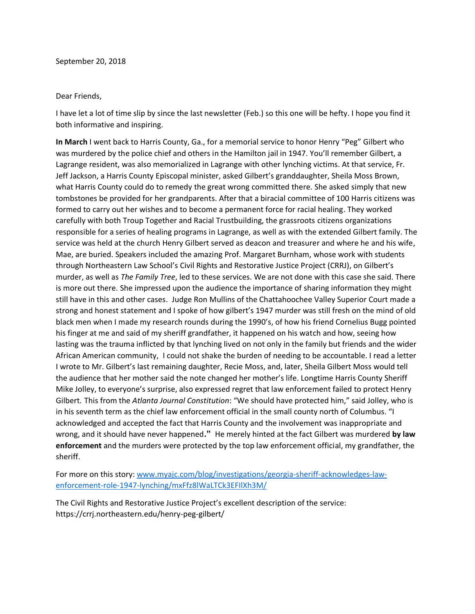## Dear Friends,

I have let a lot of time slip by since the last newsletter (Feb.) so this one will be hefty. I hope you find it both informative and inspiring.

**In March** I went back to Harris County, Ga., for a memorial service to honor Henry "Peg" Gilbert who was murdered by the police chief and others in the Hamilton jail in 1947. You'll remember Gilbert, a Lagrange resident, was also memorialized in Lagrange with other lynching victims. At that service, Fr. Jeff Jackson, a Harris County Episcopal minister, asked Gilbert's granddaughter, Sheila Moss Brown, what Harris County could do to remedy the great wrong committed there. She asked simply that new tombstones be provided for her grandparents. After that a biracial committee of 100 Harris citizens was formed to carry out her wishes and to become a permanent force for racial healing. They worked carefully with both Troup Together and Racial Trustbuilding, the grassroots citizens organizations responsible for a series of healing programs in Lagrange, as well as with the extended Gilbert family. The service was held at the church Henry Gilbert served as deacon and treasurer and where he and his wife, Mae, are buried. Speakers included the amazing Prof. Margaret Burnham, whose work with students through Northeastern Law School's Civil Rights and Restorative Justice Project (CRRJ), on Gilbert's murder, as well as *The Family Tree*, led to these services. We are not done with this case she said. There is more out there. She impressed upon the audience the importance of sharing information they might still have in this and other cases. Judge Ron Mullins of the Chattahoochee Valley Superior Court made a strong and honest statement and I spoke of how gilbert's 1947 murder was still fresh on the mind of old black men when I made my research rounds during the 1990's, of how his friend Cornelius Bugg pointed his finger at me and said of my sheriff grandfather, it happened on his watch and how, seeing how lasting was the trauma inflicted by that lynching lived on not only in the family but friends and the wider African American community, I could not shake the burden of needing to be accountable. I read a letter I wrote to Mr. Gilbert's last remaining daughter, Recie Moss, and, later, Sheila Gilbert Moss would tell the audience that her mother said the note changed her mother's life. Longtime Harris County Sheriff Mike Jolley, to everyone's surprise, also expressed regret that law enforcement failed to protect Henry Gilbert. This from the *Atlanta Journal Constitution*: "We should have protected him," said Jolley, who is in his seventh term as the chief law enforcement official in the small county north of Columbus. "I acknowledged and accepted the fact that Harris County and the involvement was inappropriate and wrong, and it should have never happened**."** He merely hinted at the fact Gilbert was murdered **by law enforcement** and the murders were protected by the top law enforcement official, my grandfather, the sheriff.

For more on this story: [www.myajc.com/blog/investigations/georgia-sheriff-acknowledges-law](http://www.myajc.com/blog/investigations/georgia-sheriff-acknowledges-law-enforcement-role-1947-lynching/mxFfz8lWaLTCk3EFIlXh3M/)[enforcement-role-1947-lynching/mxFfz8lWaLTCk3EFIlXh3M/](http://www.myajc.com/blog/investigations/georgia-sheriff-acknowledges-law-enforcement-role-1947-lynching/mxFfz8lWaLTCk3EFIlXh3M/)

The Civil Rights and Restorative Justice Project's excellent description of the service: https://crrj.northeastern.edu/henry-peg-gilbert/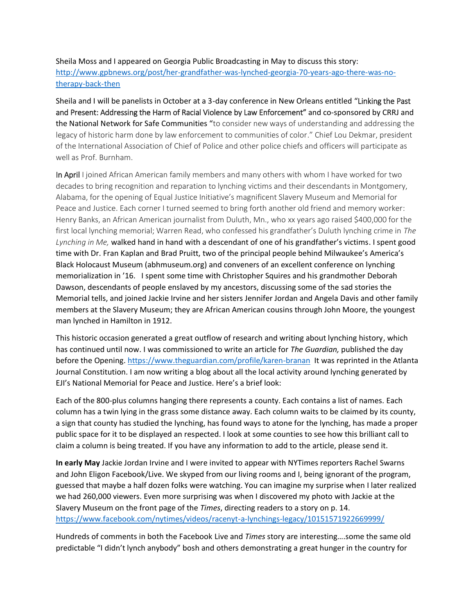## Sheila Moss and I appeared on Georgia Public Broadcasting in May to discuss this story: [http://www.gpbnews.org/post/her-grandfather-was-lynched-georgia-70-years-ago-there-was-no](http://www.gpbnews.org/post/her-grandfather-was-lynched-georgia-70-years-ago-there-was-no-therapy-back-then)[therapy-back-then](http://www.gpbnews.org/post/her-grandfather-was-lynched-georgia-70-years-ago-there-was-no-therapy-back-then)

Sheila and I will be panelists in October at a 3-day conference in New Orleans entitled "Linking the Past and Present: Addressing the Harm of Racial Violence by Law Enforcement" and co-sponsored by CRRJ and the National Network for Safe Communities "to consider new ways of understanding and addressing the legacy of historic harm done by law enforcement to communities of color." Chief Lou Dekmar, president of the International Association of Chief of Police and other police chiefs and officers will participate as well as Prof. Burnham.

In April I joined African American family members and many others with whom I have worked for two decades to bring recognition and reparation to lynching victims and their descendants in Montgomery, Alabama, for the opening of Equal Justice Initiative's magnificent Slavery Museum and Memorial for Peace and Justice. Each corner I turned seemed to bring forth another old friend and memory worker: Henry Banks, an African American journalist from Duluth, Mn., who xx years ago raised \$400,000 for the first local lynching memorial; Warren Read, who confessed his grandfather's Duluth lynching crime in *The Lynching in Me,* walked hand in hand with a descendant of one of his grandfather's victims. I spent good time with Dr. Fran Kaplan and Brad Pruitt, two of the principal people behind Milwaukee's America's Black Holocaust Museum (abhmuseum.org) and conveners of an excellent conference on lynching memorialization in '16. I spent some time with Christopher Squires and his grandmother Deborah Dawson, descendants of people enslaved by my ancestors, discussing some of the sad stories the Memorial tells, and joined Jackie Irvine and her sisters Jennifer Jordan and Angela Davis and other family members at the Slavery Museum; they are African American cousins through John Moore, the youngest man lynched in Hamilton in 1912.

This historic occasion generated a great outflow of research and writing about lynching history, which has continued until now. I was commissioned to write an article for *The Guardian,* published the day before the Opening[. https://www.theguardian.com/profile/karen-branan](https://www.theguardian.com/profile/karen-branan) It was reprinted in the Atlanta Journal Constitution. I am now writing a blog about all the local activity around lynching generated by EJI's National Memorial for Peace and Justice. Here's a brief look:

Each of the 800-plus columns hanging there represents a county. Each contains a list of names. Each column has a twin lying in the grass some distance away. Each column waits to be claimed by its county, a sign that county has studied the lynching, has found ways to atone for the lynching, has made a proper public space for it to be displayed an respected. I look at some counties to see how this brilliant call to claim a column is being treated. If you have any information to add to the article, please send it.

**In early May** Jackie Jordan Irvine and I were invited to appear with NYTimes reporters Rachel Swarns and John Eligon Facebook/Live. We skyped from our living rooms and I, being ignorant of the program, guessed that maybe a half dozen folks were watching. You can imagine my surprise when I later realized we had 260,000 viewers. Even more surprising was when I discovered my photo with Jackie at the Slavery Museum on the front page of the *Times*, directing readers to a story on p. 14. <https://www.facebook.com/nytimes/videos/racenyt-a-lynchings-legacy/10151571922669999/>

Hundreds of comments in both the Facebook Live and *Times* story are interesting….some the same old predictable "I didn't lynch anybody" bosh and others demonstrating a great hunger in the country for